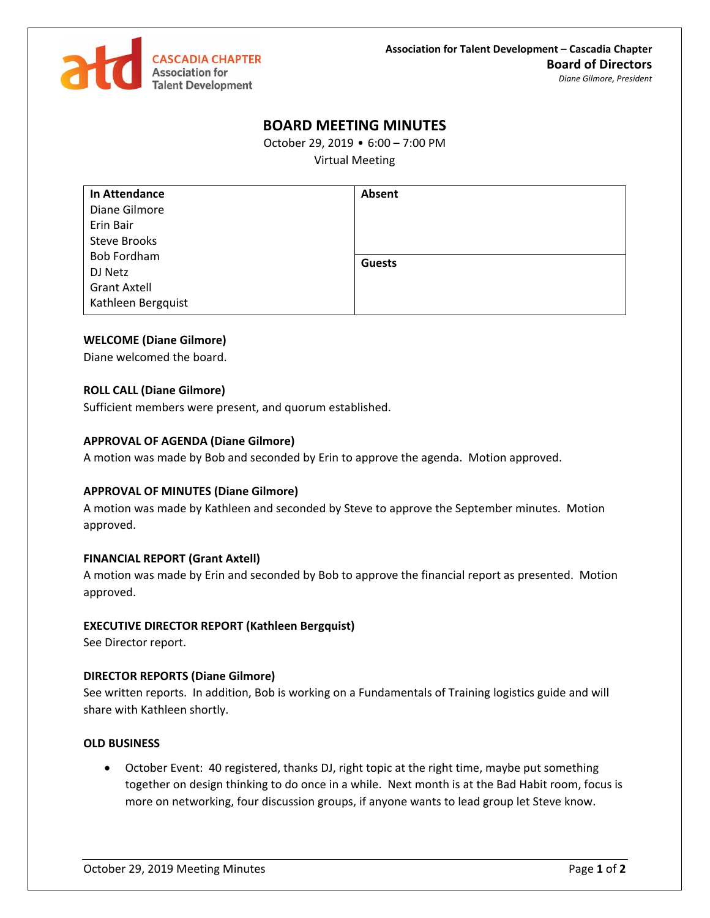

# **BOARD MEETING MINUTES**

October 29, 2019 • 6:00 – 7:00 PM

Virtual Meeting

| <b>In Attendance</b> | Absent        |
|----------------------|---------------|
| Diane Gilmore        |               |
| Erin Bair            |               |
| <b>Steve Brooks</b>  |               |
| <b>Bob Fordham</b>   | <b>Guests</b> |
| DJ Netz              |               |
| <b>Grant Axtell</b>  |               |
| Kathleen Bergquist   |               |

#### **WELCOME (Diane Gilmore)**

Diane welcomed the board.

#### **ROLL CALL (Diane Gilmore)**

Sufficient members were present, and quorum established.

#### **APPROVAL OF AGENDA (Diane Gilmore)**

A motion was made by Bob and seconded by Erin to approve the agenda. Motion approved.

#### **APPROVAL OF MINUTES (Diane Gilmore)**

A motion was made by Kathleen and seconded by Steve to approve the September minutes. Motion approved.

#### **FINANCIAL REPORT (Grant Axtell)**

A motion was made by Erin and seconded by Bob to approve the financial report as presented. Motion approved.

#### **EXECUTIVE DIRECTOR REPORT (Kathleen Bergquist)**

See Director report.

### **DIRECTOR REPORTS (Diane Gilmore)**

See written reports. In addition, Bob is working on a Fundamentals of Training logistics guide and will share with Kathleen shortly.

#### **OLD BUSINESS**

 October Event: 40 registered, thanks DJ, right topic at the right time, maybe put something together on design thinking to do once in a while. Next month is at the Bad Habit room, focus is more on networking, four discussion groups, if anyone wants to lead group let Steve know.